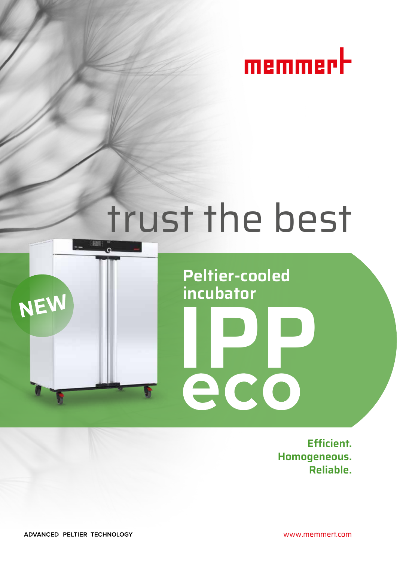

# trust the best

**Peltier-cooled** 

**incubator**

**PCO** 



 **Efficient. Homogeneous. Reliable.**

ADVANCED PELTIER TECHNOLOGY

www.memmert.com